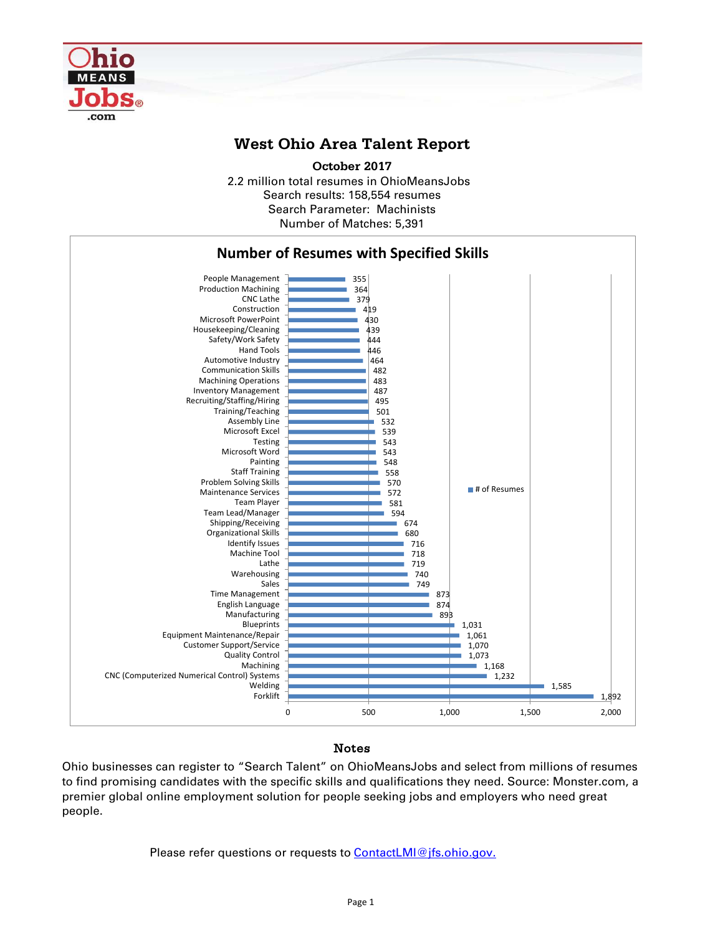

## **West Ohio Area Talent Report**

2.2 million total resumes in OhioMeansJobs Search results: 158,554 resumes Number of Matches: 5,391 **October 2017** Search Parameter: Machinists



## Notes

Ohio businesses can register to "Search Talent" on OhioMeansJobs and select from millions of resumes to find promising candidates with the specific skills and qualifications they need. Source: Monster.com, a premier global online employment solution for people seeking jobs and employers who need great people.

Please refer questions or requests to **ContactLMI@jfs.ohio.gov.**